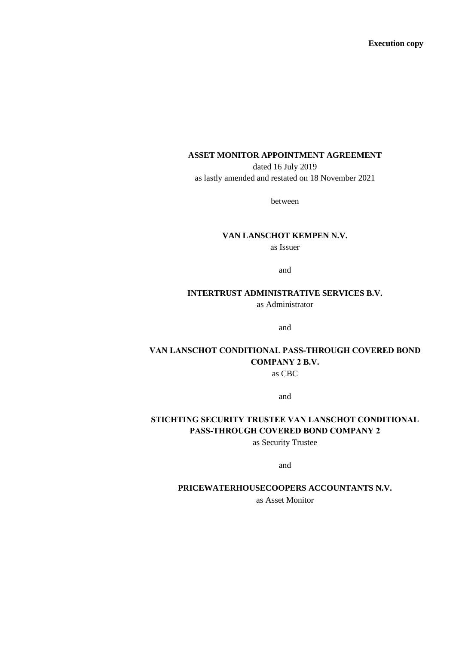**Execution copy**

## **ASSET MONITOR APPOINTMENT AGREEMENT**

dated 16 July 2019 as lastly amended and restated on 18 November 2021

between

## **VAN LANSCHOT KEMPEN N.V.**

as Issuer

and

## **INTERTRUST ADMINISTRATIVE SERVICES B.V.**

as Administrator

and

## **VAN LANSCHOT CONDITIONAL PASS-THROUGH COVERED BOND COMPANY 2 B.V.** as CBC

and

# **STICHTING SECURITY TRUSTEE VAN LANSCHOT CONDITIONAL PASS-THROUGH COVERED BOND COMPANY 2**

as Security Trustee

and

#### **PRICEWATERHOUSECOOPERS ACCOUNTANTS N.V.**

as Asset Monitor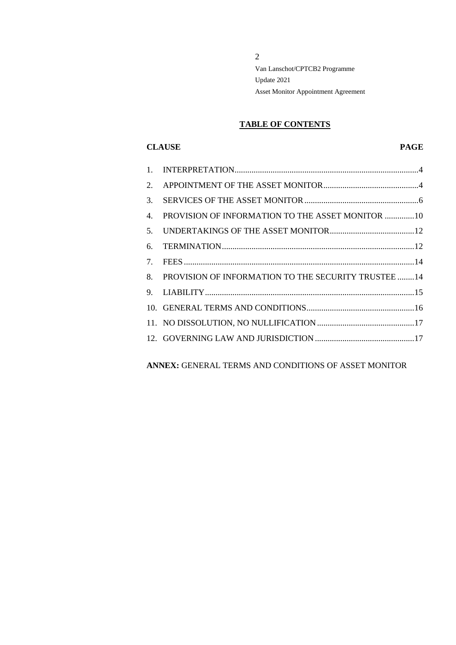# **TABLE OF CONTENTS**

## **CLAUSE PAGE**

| $\mathbf{1}$ .                  |                                                      |
|---------------------------------|------------------------------------------------------|
| 2.                              |                                                      |
| 3.                              |                                                      |
| 4.                              | PROVISION OF INFORMATION TO THE ASSET MONITOR 10     |
| 5.                              |                                                      |
| 6.                              |                                                      |
| $7_{\scriptscriptstyle{\star}}$ |                                                      |
| 8.                              | PROVISION OF INFORMATION TO THE SECURITY TRUSTEE  14 |
| 9.                              |                                                      |
|                                 |                                                      |
|                                 |                                                      |
|                                 |                                                      |

**ANNEX:** GENERAL TERMS AND CONDITIONS OF ASSET MONITOR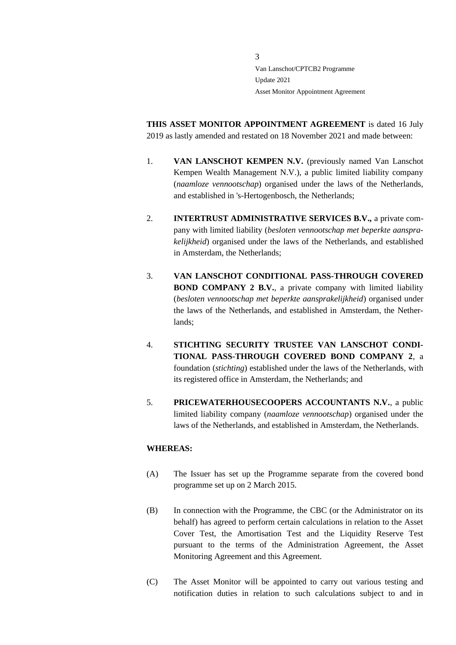**THIS ASSET MONITOR APPOINTMENT AGREEMENT** is dated 16 July 2019 as lastly amended and restated on 18 November 2021 and made between:

- 1. **VAN LANSCHOT KEMPEN N.V.** (previously named Van Lanschot Kempen Wealth Management N.V.), a public limited liability company (*naamloze vennootschap*) organised under the laws of the Netherlands, and established in 's-Hertogenbosch, the Netherlands;
- 2. **INTERTRUST ADMINISTRATIVE SERVICES B.V.,** a private company with limited liability (*besloten vennootschap met beperkte aansprakelijkheid*) organised under the laws of the Netherlands, and established in Amsterdam, the Netherlands;
- 3. **VAN LANSCHOT CONDITIONAL PASS-THROUGH COVERED BOND COMPANY 2 B.V.**, a private company with limited liability (*besloten vennootschap met beperkte aansprakelijkheid*) organised under the laws of the Netherlands, and established in Amsterdam, the Netherlands;
- 4. **STICHTING SECURITY TRUSTEE VAN LANSCHOT CONDI-TIONAL PASS-THROUGH COVERED BOND COMPANY 2**, a foundation (*stichting*) established under the laws of the Netherlands, with its registered office in Amsterdam, the Netherlands; and
- 5. **PRICEWATERHOUSECOOPERS ACCOUNTANTS N.V.**, a public limited liability company (*naamloze vennootschap*) organised under the laws of the Netherlands, and established in Amsterdam, the Netherlands.

#### **WHEREAS:**

- (A) The Issuer has set up the Programme separate from the covered bond programme set up on 2 March 2015.
- (B) In connection with the Programme, the CBC (or the Administrator on its behalf) has agreed to perform certain calculations in relation to the Asset Cover Test, the Amortisation Test and the Liquidity Reserve Test pursuant to the terms of the Administration Agreement, the Asset Monitoring Agreement and this Agreement.
- (C) The Asset Monitor will be appointed to carry out various testing and notification duties in relation to such calculations subject to and in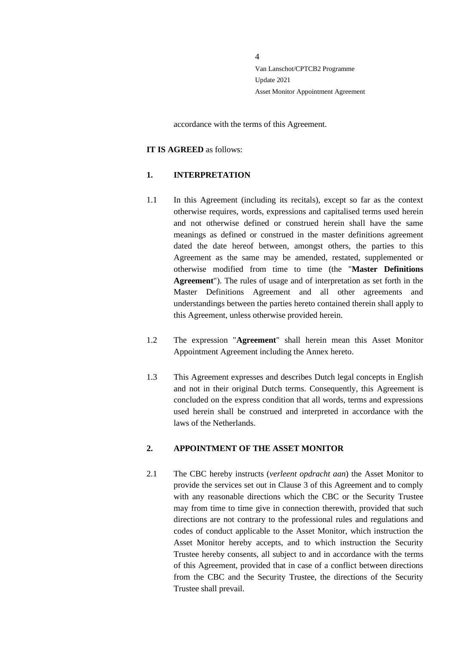accordance with the terms of this Agreement.

#### **IT IS AGREED** as follows:

#### <span id="page-3-0"></span>**1. INTERPRETATION**

- 1.1 In this Agreement (including its recitals), except so far as the context otherwise requires, words, expressions and capitalised terms used herein and not otherwise defined or construed herein shall have the same meanings as defined or construed in the master definitions agreement dated the date hereof between, amongst others, the parties to this Agreement as the same may be amended, restated, supplemented or otherwise modified from time to time (the "**Master Definitions Agreement**"). The rules of usage and of interpretation as set forth in the Master Definitions Agreement and all other agreements and understandings between the parties hereto contained therein shall apply to this Agreement, unless otherwise provided herein.
- 1.2 The expression "**Agreement**" shall herein mean this Asset Monitor Appointment Agreement including the Annex hereto.
- 1.3 This Agreement expresses and describes Dutch legal concepts in English and not in their original Dutch terms. Consequently, this Agreement is concluded on the express condition that all words, terms and expressions used herein shall be construed and interpreted in accordance with the laws of the Netherlands.

#### <span id="page-3-1"></span>**2. APPOINTMENT OF THE ASSET MONITOR**

2.1 The CBC hereby instructs (*verleent opdracht aan*) the Asset Monitor to provide the services set out in Clause 3 of this Agreement and to comply with any reasonable directions which the CBC or the Security Trustee may from time to time give in connection therewith, provided that such directions are not contrary to the professional rules and regulations and codes of conduct applicable to the Asset Monitor, which instruction the Asset Monitor hereby accepts, and to which instruction the Security Trustee hereby consents, all subject to and in accordance with the terms of this Agreement, provided that in case of a conflict between directions from the CBC and the Security Trustee, the directions of the Security Trustee shall prevail.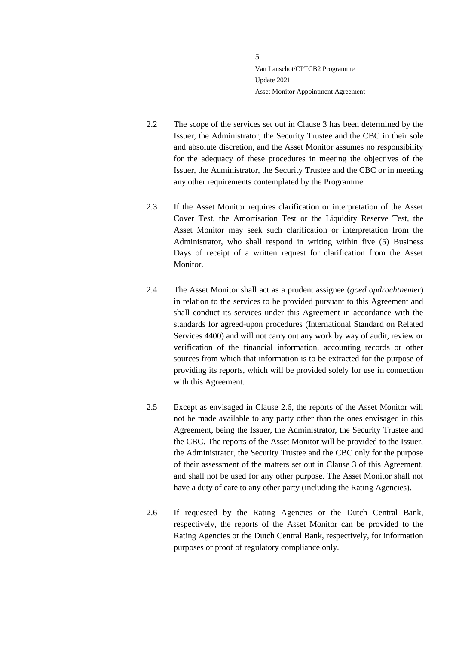- 2.2 The scope of the services set out in Clause 3 has been determined by the Issuer, the Administrator, the Security Trustee and the CBC in their sole and absolute discretion, and the Asset Monitor assumes no responsibility for the adequacy of these procedures in meeting the objectives of the Issuer, the Administrator, the Security Trustee and the CBC or in meeting any other requirements contemplated by the Programme.
- 2.3 If the Asset Monitor requires clarification or interpretation of the Asset Cover Test, the Amortisation Test or the Liquidity Reserve Test, the Asset Monitor may seek such clarification or interpretation from the Administrator, who shall respond in writing within five (5) Business Days of receipt of a written request for clarification from the Asset Monitor.
- 2.4 The Asset Monitor shall act as a prudent assignee (*goed opdrachtnemer*) in relation to the services to be provided pursuant to this Agreement and shall conduct its services under this Agreement in accordance with the standards for agreed-upon procedures (International Standard on Related Services 4400) and will not carry out any work by way of audit, review or verification of the financial information, accounting records or other sources from which that information is to be extracted for the purpose of providing its reports, which will be provided solely for use in connection with this Agreement.
- 2.5 Except as envisaged in Clause 2.6, the reports of the Asset Monitor will not be made available to any party other than the ones envisaged in this Agreement, being the Issuer, the Administrator, the Security Trustee and the CBC. The reports of the Asset Monitor will be provided to the Issuer, the Administrator, the Security Trustee and the CBC only for the purpose of their assessment of the matters set out in Clause 3 of this Agreement, and shall not be used for any other purpose. The Asset Monitor shall not have a duty of care to any other party (including the Rating Agencies).
- 2.6 If requested by the Rating Agencies or the Dutch Central Bank, respectively, the reports of the Asset Monitor can be provided to the Rating Agencies or the Dutch Central Bank, respectively, for information purposes or proof of regulatory compliance only.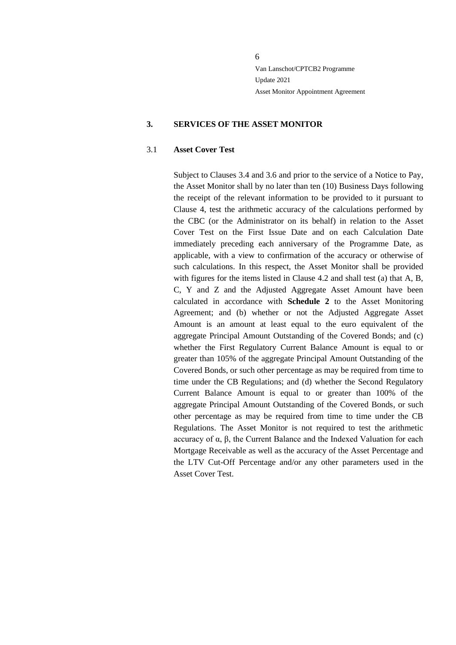#### <span id="page-5-0"></span>**3. SERVICES OF THE ASSET MONITOR**

#### 3.1 **Asset Cover Test**

Subject to Clauses 3.4 and 3.6 and prior to the service of a Notice to Pay, the Asset Monitor shall by no later than ten (10) Business Days following the receipt of the relevant information to be provided to it pursuant to Clause 4, test the arithmetic accuracy of the calculations performed by the CBC (or the Administrator on its behalf) in relation to the Asset Cover Test on the First Issue Date and on each Calculation Date immediately preceding each anniversary of the Programme Date, as applicable, with a view to confirmation of the accuracy or otherwise of such calculations. In this respect, the Asset Monitor shall be provided with figures for the items listed in Clause 4.2 and shall test (a) that A, B, C, Y and Z and the Adjusted Aggregate Asset Amount have been calculated in accordance with **Schedule 2** to the Asset Monitoring Agreement; and (b) whether or not the Adjusted Aggregate Asset Amount is an amount at least equal to the euro equivalent of the aggregate Principal Amount Outstanding of the Covered Bonds; and (c) whether the First Regulatory Current Balance Amount is equal to or greater than 105% of the aggregate Principal Amount Outstanding of the Covered Bonds, or such other percentage as may be required from time to time under the CB Regulations; and (d) whether the Second Regulatory Current Balance Amount is equal to or greater than 100% of the aggregate Principal Amount Outstanding of the Covered Bonds, or such other percentage as may be required from time to time under the CB Regulations. The Asset Monitor is not required to test the arithmetic accuracy of α, β, the Current Balance and the Indexed Valuation for each Mortgage Receivable as well as the accuracy of the Asset Percentage and the LTV Cut-Off Percentage and/or any other parameters used in the Asset Cover Test.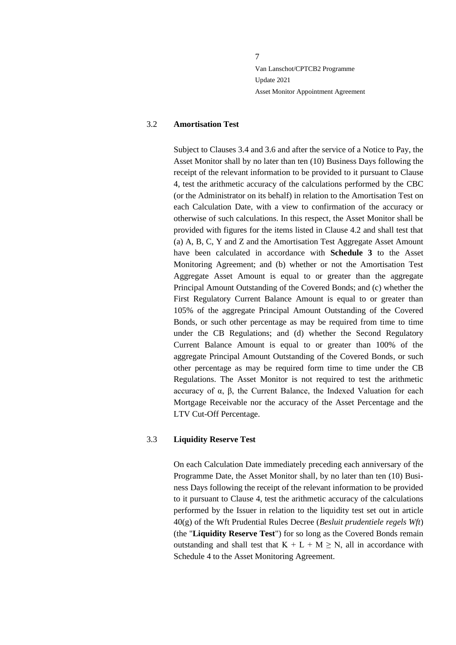#### 3.2 **Amortisation Test**

Subject to Clauses 3.4 and 3.6 and after the service of a Notice to Pay, the Asset Monitor shall by no later than ten (10) Business Days following the receipt of the relevant information to be provided to it pursuant to Clause [4,](#page-9-0) test the arithmetic accuracy of the calculations performed by the CBC (or the Administrator on its behalf) in relation to the Amortisation Test on each Calculation Date, with a view to confirmation of the accuracy or otherwise of such calculations. In this respect, the Asset Monitor shall be provided with figures for the items listed in Clause 4.2 and shall test that (a) A, B, C, Y and Z and the Amortisation Test Aggregate Asset Amount have been calculated in accordance with **Schedule 3** to the Asset Monitoring Agreement; and (b) whether or not the Amortisation Test Aggregate Asset Amount is equal to or greater than the aggregate Principal Amount Outstanding of the Covered Bonds; and (c) whether the First Regulatory Current Balance Amount is equal to or greater than 105% of the aggregate Principal Amount Outstanding of the Covered Bonds, or such other percentage as may be required from time to time under the CB Regulations; and (d) whether the Second Regulatory Current Balance Amount is equal to or greater than 100% of the aggregate Principal Amount Outstanding of the Covered Bonds, or such other percentage as may be required form time to time under the CB Regulations. The Asset Monitor is not required to test the arithmetic accuracy of α, β, the Current Balance, the Indexed Valuation for each Mortgage Receivable nor the accuracy of the Asset Percentage and the LTV Cut-Off Percentage.

#### 3.3 **Liquidity Reserve Test**

On each Calculation Date immediately preceding each anniversary of the Programme Date, the Asset Monitor shall, by no later than ten (10) Business Days following the receipt of the relevant information to be provided to it pursuant to Clause 4, test the arithmetic accuracy of the calculations performed by the Issuer in relation to the liquidity test set out in article 40(g) of the Wft Prudential Rules Decree (*Besluit prudentiele regels Wft*) (the "**Liquidity Reserve Test**") for so long as the Covered Bonds remain outstanding and shall test that  $K + L + M \geq N$ , all in accordance with Schedule 4 to the Asset Monitoring Agreement.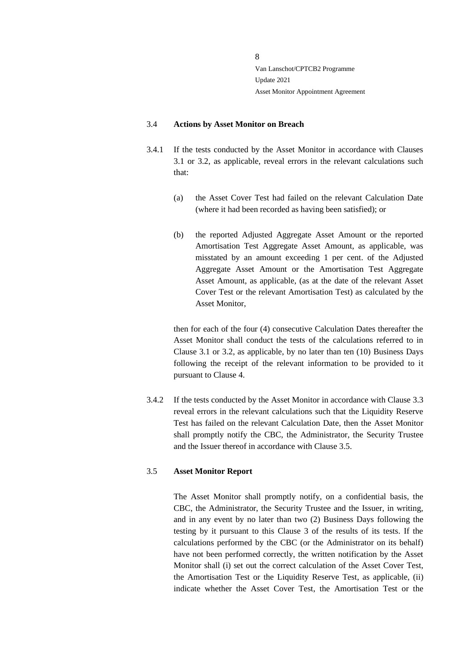#### 3.4 **Actions by Asset Monitor on Breach**

- 3.4.1 If the tests conducted by the Asset Monitor in accordance with Clauses 3.1 or 3.2, as applicable, reveal errors in the relevant calculations such that:
	- (a) the Asset Cover Test had failed on the relevant Calculation Date (where it had been recorded as having been satisfied); or
	- (b) the reported Adjusted Aggregate Asset Amount or the reported Amortisation Test Aggregate Asset Amount, as applicable, was misstated by an amount exceeding 1 per cent. of the Adjusted Aggregate Asset Amount or the Amortisation Test Aggregate Asset Amount, as applicable, (as at the date of the relevant Asset Cover Test or the relevant Amortisation Test) as calculated by the Asset Monitor,

then for each of the four (4) consecutive Calculation Dates thereafter the Asset Monitor shall conduct the tests of the calculations referred to in Clause 3.1 or 3.2, as applicable, by no later than ten (10) Business Days following the receipt of the relevant information to be provided to it pursuant to Clause [4.](#page-9-0)

3.4.2 If the tests conducted by the Asset Monitor in accordance with Clause 3.3 reveal errors in the relevant calculations such that the Liquidity Reserve Test has failed on the relevant Calculation Date, then the Asset Monitor shall promptly notify the CBC, the Administrator, the Security Trustee and the Issuer thereof in accordance with Clause 3.5.

## 3.5 **Asset Monitor Report**

The Asset Monitor shall promptly notify, on a confidential basis, the CBC, the Administrator, the Security Trustee and the Issuer, in writing, and in any event by no later than two (2) Business Days following the testing by it pursuant to this Clause 3 of the results of its tests. If the calculations performed by the CBC (or the Administrator on its behalf) have not been performed correctly, the written notification by the Asset Monitor shall (i) set out the correct calculation of the Asset Cover Test, the Amortisation Test or the Liquidity Reserve Test, as applicable, (ii) indicate whether the Asset Cover Test, the Amortisation Test or the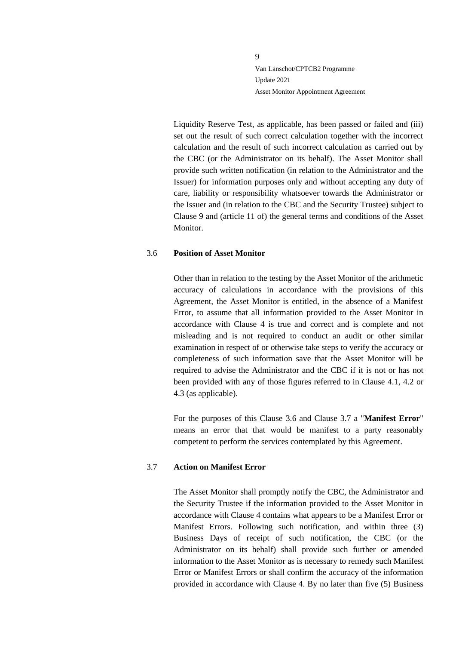Liquidity Reserve Test, as applicable, has been passed or failed and (iii) set out the result of such correct calculation together with the incorrect calculation and the result of such incorrect calculation as carried out by the CBC (or the Administrator on its behalf). The Asset Monitor shall provide such written notification (in relation to the Administrator and the Issuer) for information purposes only and without accepting any duty of care, liability or responsibility whatsoever towards the Administrator or the Issuer and (in relation to the CBC and the Security Trustee) subject to Clause 9 and (article 11 of) the general terms and conditions of the Asset Monitor.

#### 3.6 **Position of Asset Monitor**

Other than in relation to the testing by the Asset Monitor of the arithmetic accuracy of calculations in accordance with the provisions of this Agreement, the Asset Monitor is entitled, in the absence of a Manifest Error, to assume that all information provided to the Asset Monitor in accordance with Clause [4](#page-9-0) is true and correct and is complete and not misleading and is not required to conduct an audit or other similar examination in respect of or otherwise take steps to verify the accuracy or completeness of such information save that the Asset Monitor will be required to advise the Administrator and the CBC if it is not or has not been provided with any of those figures referred to in Clause 4.1, 4.2 or 4.3 (as applicable).

For the purposes of this Clause 3.6 and Clause 3.7 a "**Manifest Error**" means an error that that would be manifest to a party reasonably competent to perform the services contemplated by this Agreement.

#### 3.7 **Action on Manifest Error**

The Asset Monitor shall promptly notify the CBC, the Administrator and the Security Trustee if the information provided to the Asset Monitor in accordance with Clause 4 contains what appears to be a Manifest Error or Manifest Errors. Following such notification, and within three (3) Business Days of receipt of such notification, the CBC (or the Administrator on its behalf) shall provide such further or amended information to the Asset Monitor as is necessary to remedy such Manifest Error or Manifest Errors or shall confirm the accuracy of the information provided in accordance with Clause 4. By no later than five (5) Business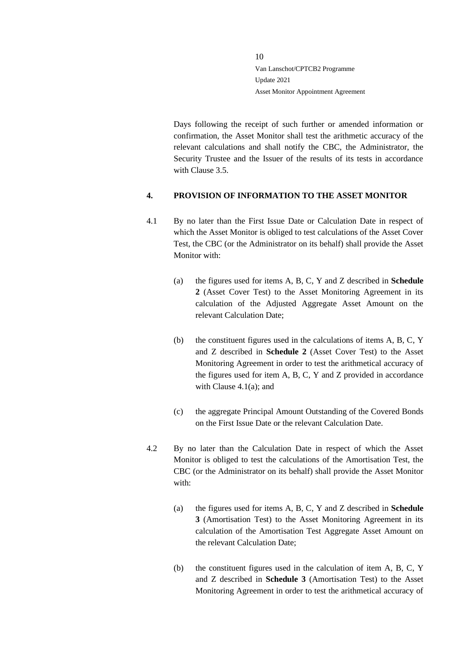Days following the receipt of such further or amended information or confirmation, the Asset Monitor shall test the arithmetic accuracy of the relevant calculations and shall notify the CBC, the Administrator, the Security Trustee and the Issuer of the results of its tests in accordance with Clause 3.5.

#### <span id="page-9-0"></span>**4. PROVISION OF INFORMATION TO THE ASSET MONITOR**

- 4.1 By no later than the First Issue Date or Calculation Date in respect of which the Asset Monitor is obliged to test calculations of the Asset Cover Test, the CBC (or the Administrator on its behalf) shall provide the Asset Monitor with:
	- (a) the figures used for items A, B, C, Y and Z described in **Schedule 2** (Asset Cover Test) to the Asset Monitoring Agreement in its calculation of the Adjusted Aggregate Asset Amount on the relevant Calculation Date;
	- (b) the constituent figures used in the calculations of items A, B, C, Y and Z described in **Schedule 2** (Asset Cover Test) to the Asset Monitoring Agreement in order to test the arithmetical accuracy of the figures used for item A, B, C, Y and Z provided in accordance with Clause 4.1(a); and
	- (c) the aggregate Principal Amount Outstanding of the Covered Bonds on the First Issue Date or the relevant Calculation Date.
- 4.2 By no later than the Calculation Date in respect of which the Asset Monitor is obliged to test the calculations of the Amortisation Test, the CBC (or the Administrator on its behalf) shall provide the Asset Monitor with:
	- (a) the figures used for items A, B, C, Y and Z described in **Schedule 3** (Amortisation Test) to the Asset Monitoring Agreement in its calculation of the Amortisation Test Aggregate Asset Amount on the relevant Calculation Date;
	- (b) the constituent figures used in the calculation of item A, B, C, Y and Z described in **Schedule 3** (Amortisation Test) to the Asset Monitoring Agreement in order to test the arithmetical accuracy of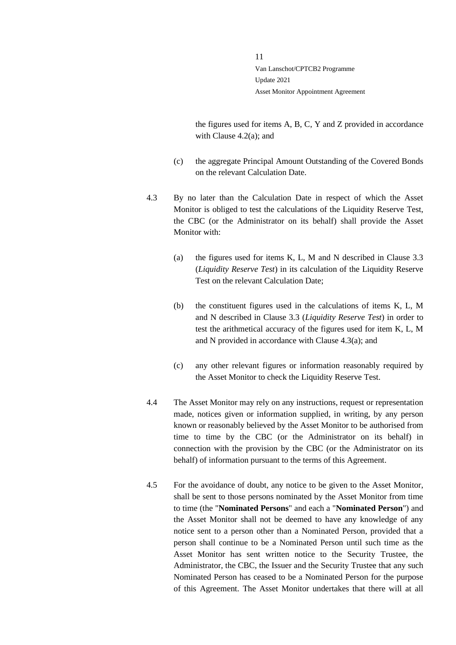the figures used for items A, B, C, Y and Z provided in accordance with Clause 4.2(a); and

- (c) the aggregate Principal Amount Outstanding of the Covered Bonds on the relevant Calculation Date.
- 4.3 By no later than the Calculation Date in respect of which the Asset Monitor is obliged to test the calculations of the Liquidity Reserve Test, the CBC (or the Administrator on its behalf) shall provide the Asset Monitor with:
	- (a) the figures used for items K, L, M and N described in Clause 3.3 (*Liquidity Reserve Test*) in its calculation of the Liquidity Reserve Test on the relevant Calculation Date;
	- (b) the constituent figures used in the calculations of items K, L, M and N described in Clause 3.3 (*Liquidity Reserve Test*) in order to test the arithmetical accuracy of the figures used for item K, L, M and N provided in accordance with Clause 4.3(a); and
	- (c) any other relevant figures or information reasonably required by the Asset Monitor to check the Liquidity Reserve Test.
- 4.4 The Asset Monitor may rely on any instructions, request or representation made, notices given or information supplied, in writing, by any person known or reasonably believed by the Asset Monitor to be authorised from time to time by the CBC (or the Administrator on its behalf) in connection with the provision by the CBC (or the Administrator on its behalf) of information pursuant to the terms of this Agreement.
- 4.5 For the avoidance of doubt, any notice to be given to the Asset Monitor, shall be sent to those persons nominated by the Asset Monitor from time to time (the "**Nominated Persons**" and each a "**Nominated Person**") and the Asset Monitor shall not be deemed to have any knowledge of any notice sent to a person other than a Nominated Person, provided that a person shall continue to be a Nominated Person until such time as the Asset Monitor has sent written notice to the Security Trustee, the Administrator, the CBC, the Issuer and the Security Trustee that any such Nominated Person has ceased to be a Nominated Person for the purpose of this Agreement. The Asset Monitor undertakes that there will at all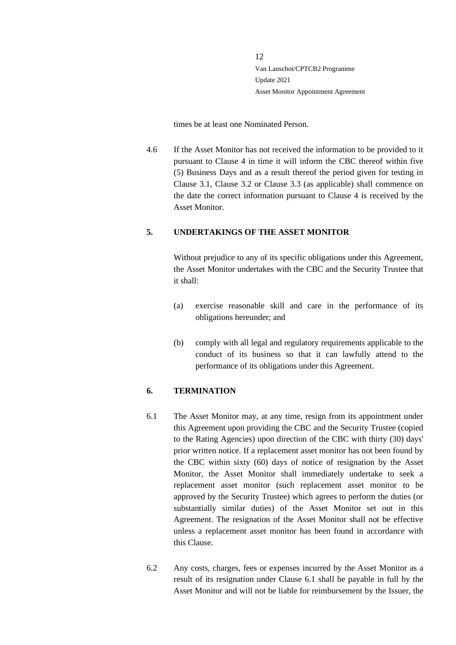times be at least one Nominated Person.

4.6 If the Asset Monitor has not received the information to be provided to it pursuant to Clause 4 in time it will inform the CBC thereof within five (5) Business Days and as a result thereof the period given for testing in Clause 3.1, Clause 3.2 or Clause 3.3 (as applicable) shall commence on the date the correct information pursuant to Clause 4 is received by the Asset Monitor.

## <span id="page-11-0"></span>**5. UNDERTAKINGS OF THE ASSET MONITOR**

Without prejudice to any of its specific obligations under this Agreement, the Asset Monitor undertakes with the CBC and the Security Trustee that it shall:

- (a) exercise reasonable skill and care in the performance of its obligations hereunder; and
- (b) comply with all legal and regulatory requirements applicable to the conduct of its business so that it can lawfully attend to the performance of its obligations under this Agreement.

#### <span id="page-11-1"></span>**6. TERMINATION**

- 6.1 The Asset Monitor may, at any time, resign from its appointment under this Agreement upon providing the CBC and the Security Trustee (copied to the Rating Agencies) upon direction of the CBC with thirty (30) days' prior written notice. If a replacement asset monitor has not been found by the CBC within sixty (60) days of notice of resignation by the Asset Monitor, the Asset Monitor shall immediately undertake to seek a replacement asset monitor (such replacement asset monitor to be approved by the Security Trustee) which agrees to perform the duties (or substantially similar duties) of the Asset Monitor set out in this Agreement. The resignation of the Asset Monitor shall not be effective unless a replacement asset monitor has been found in accordance with this Clause.
- 6.2 Any costs, charges, fees or expenses incurred by the Asset Monitor as a result of its resignation under Clause 6.1 shall be payable in full by the Asset Monitor and will not be liable for reimbursement by the Issuer, the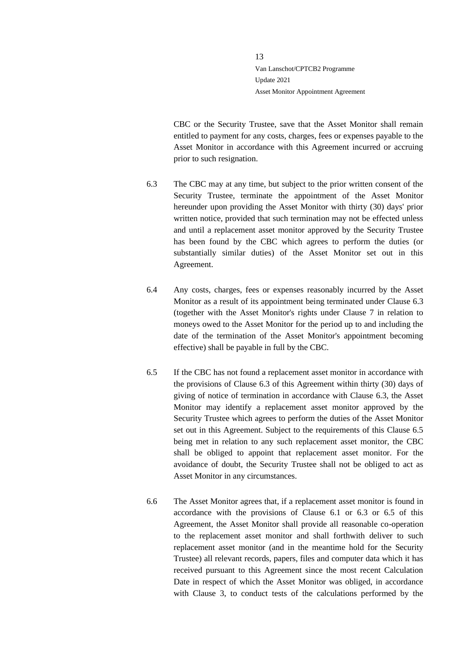CBC or the Security Trustee, save that the Asset Monitor shall remain entitled to payment for any costs, charges, fees or expenses payable to the Asset Monitor in accordance with this Agreement incurred or accruing prior to such resignation.

- 6.3 The CBC may at any time, but subject to the prior written consent of the Security Trustee, terminate the appointment of the Asset Monitor hereunder upon providing the Asset Monitor with thirty (30) days' prior written notice, provided that such termination may not be effected unless and until a replacement asset monitor approved by the Security Trustee has been found by the CBC which agrees to perform the duties (or substantially similar duties) of the Asset Monitor set out in this Agreement.
- 6.4 Any costs, charges, fees or expenses reasonably incurred by the Asset Monitor as a result of its appointment being terminated under Clause 6.3 (together with the Asset Monitor's rights under Clause 7 in relation to moneys owed to the Asset Monitor for the period up to and including the date of the termination of the Asset Monitor's appointment becoming effective) shall be payable in full by the CBC.
- 6.5 If the CBC has not found a replacement asset monitor in accordance with the provisions of Clause 6.3 of this Agreement within thirty (30) days of giving of notice of termination in accordance with Clause 6.3, the Asset Monitor may identify a replacement asset monitor approved by the Security Trustee which agrees to perform the duties of the Asset Monitor set out in this Agreement. Subject to the requirements of this Clause 6.5 being met in relation to any such replacement asset monitor, the CBC shall be obliged to appoint that replacement asset monitor. For the avoidance of doubt, the Security Trustee shall not be obliged to act as Asset Monitor in any circumstances.
- 6.6 The Asset Monitor agrees that, if a replacement asset monitor is found in accordance with the provisions of Clause 6.1 or 6.3 or 6.5 of this Agreement, the Asset Monitor shall provide all reasonable co-operation to the replacement asset monitor and shall forthwith deliver to such replacement asset monitor (and in the meantime hold for the Security Trustee) all relevant records, papers, files and computer data which it has received pursuant to this Agreement since the most recent Calculation Date in respect of which the Asset Monitor was obliged, in accordance with Clause 3, to conduct tests of the calculations performed by the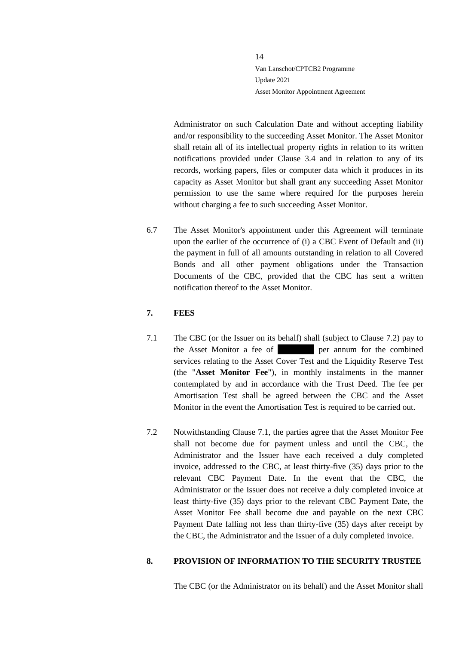Administrator on such Calculation Date and without accepting liability and/or responsibility to the succeeding Asset Monitor. The Asset Monitor shall retain all of its intellectual property rights in relation to its written notifications provided under Clause 3.4 and in relation to any of its records, working papers, files or computer data which it produces in its capacity as Asset Monitor but shall grant any succeeding Asset Monitor permission to use the same where required for the purposes herein without charging a fee to such succeeding Asset Monitor.

6.7 The Asset Monitor's appointment under this Agreement will terminate upon the earlier of the occurrence of (i) a CBC Event of Default and (ii) the payment in full of all amounts outstanding in relation to all Covered Bonds and all other payment obligations under the Transaction Documents of the CBC, provided that the CBC has sent a written notification thereof to the Asset Monitor.

## <span id="page-13-0"></span>**7. FEES**

- 7.1 The CBC (or the Issuer on its behalf) shall (subject to Clause [7.2\)](#page-13-2) pay to the Asset Monitor a fee of the combined services relating to the Asset Cover Test and the Liquidity Reserve Test (the "**Asset Monitor Fee**"), in monthly instalments in the manner contemplated by and in accordance with the Trust Deed. The fee per Amortisation Test shall be agreed between the CBC and the Asset Monitor in the event the Amortisation Test is required to be carried out.
- <span id="page-13-2"></span>7.2 Notwithstanding Clause 7.1, the parties agree that the Asset Monitor Fee shall not become due for payment unless and until the CBC, the Administrator and the Issuer have each received a duly completed invoice, addressed to the CBC, at least thirty-five (35) days prior to the relevant CBC Payment Date. In the event that the CBC, the Administrator or the Issuer does not receive a duly completed invoice at least thirty-five (35) days prior to the relevant CBC Payment Date, the Asset Monitor Fee shall become due and payable on the next CBC Payment Date falling not less than thirty-five (35) days after receipt by the CBC, the Administrator and the Issuer of a duly completed invoice.

## <span id="page-13-1"></span>**8. PROVISION OF INFORMATION TO THE SECURITY TRUSTEE**

The CBC (or the Administrator on its behalf) and the Asset Monitor shall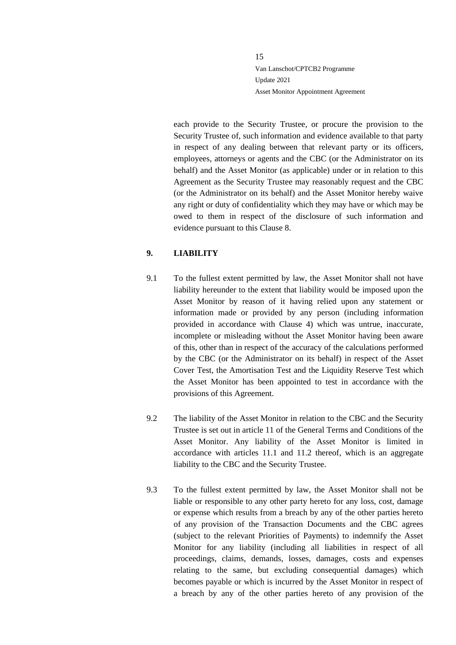each provide to the Security Trustee, or procure the provision to the Security Trustee of, such information and evidence available to that party in respect of any dealing between that relevant party or its officers, employees, attorneys or agents and the CBC (or the Administrator on its behalf) and the Asset Monitor (as applicable) under or in relation to this Agreement as the Security Trustee may reasonably request and the CBC (or the Administrator on its behalf) and the Asset Monitor hereby waive any right or duty of confidentiality which they may have or which may be owed to them in respect of the disclosure of such information and evidence pursuant to this Clause 8.

## <span id="page-14-0"></span>**9. LIABILITY**

- 9.1 To the fullest extent permitted by law, the Asset Monitor shall not have liability hereunder to the extent that liability would be imposed upon the Asset Monitor by reason of it having relied upon any statement or information made or provided by any person (including information provided in accordance with Clause 4) which was untrue, inaccurate, incomplete or misleading without the Asset Monitor having been aware of this, other than in respect of the accuracy of the calculations performed by the CBC (or the Administrator on its behalf) in respect of the Asset Cover Test, the Amortisation Test and the Liquidity Reserve Test which the Asset Monitor has been appointed to test in accordance with the provisions of this Agreement.
- 9.2 The liability of the Asset Monitor in relation to the CBC and the Security Trustee is set out in article 11 of the General Terms and Conditions of the Asset Monitor. Any liability of the Asset Monitor is limited in accordance with articles 11.1 and 11.2 thereof, which is an aggregate liability to the CBC and the Security Trustee.
- 9.3 To the fullest extent permitted by law, the Asset Monitor shall not be liable or responsible to any other party hereto for any loss, cost, damage or expense which results from a breach by any of the other parties hereto of any provision of the Transaction Documents and the CBC agrees (subject to the relevant Priorities of Payments) to indemnify the Asset Monitor for any liability (including all liabilities in respect of all proceedings, claims, demands, losses, damages, costs and expenses relating to the same, but excluding consequential damages) which becomes payable or which is incurred by the Asset Monitor in respect of a breach by any of the other parties hereto of any provision of the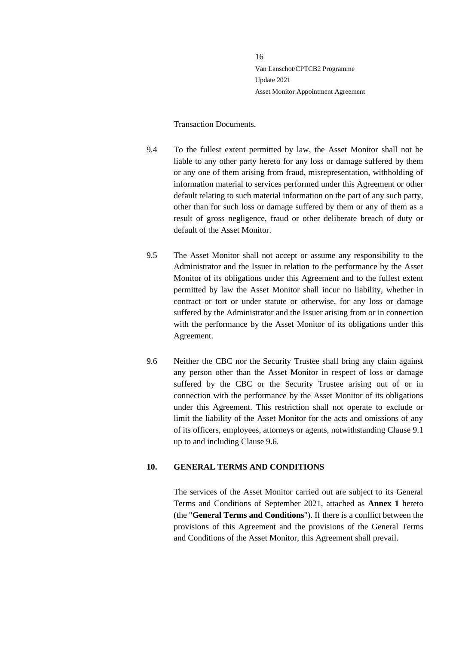#### Transaction Documents.

- 9.4 To the fullest extent permitted by law, the Asset Monitor shall not be liable to any other party hereto for any loss or damage suffered by them or any one of them arising from fraud, misrepresentation, withholding of information material to services performed under this Agreement or other default relating to such material information on the part of any such party, other than for such loss or damage suffered by them or any of them as a result of gross negligence, fraud or other deliberate breach of duty or default of the Asset Monitor.
- 9.5 The Asset Monitor shall not accept or assume any responsibility to the Administrator and the Issuer in relation to the performance by the Asset Monitor of its obligations under this Agreement and to the fullest extent permitted by law the Asset Monitor shall incur no liability, whether in contract or tort or under statute or otherwise, for any loss or damage suffered by the Administrator and the Issuer arising from or in connection with the performance by the Asset Monitor of its obligations under this Agreement.
- 9.6 Neither the CBC nor the Security Trustee shall bring any claim against any person other than the Asset Monitor in respect of loss or damage suffered by the CBC or the Security Trustee arising out of or in connection with the performance by the Asset Monitor of its obligations under this Agreement. This restriction shall not operate to exclude or limit the liability of the Asset Monitor for the acts and omissions of any of its officers, employees, attorneys or agents, notwithstanding Clause 9.1 up to and including Clause 9.6.

#### <span id="page-15-0"></span>**10. GENERAL TERMS AND CONDITIONS**

The services of the Asset Monitor carried out are subject to its General Terms and Conditions of September 2021, attached as **Annex 1** hereto (the "**General Terms and Conditions**"). If there is a conflict between the provisions of this Agreement and the provisions of the General Terms and Conditions of the Asset Monitor, this Agreement shall prevail.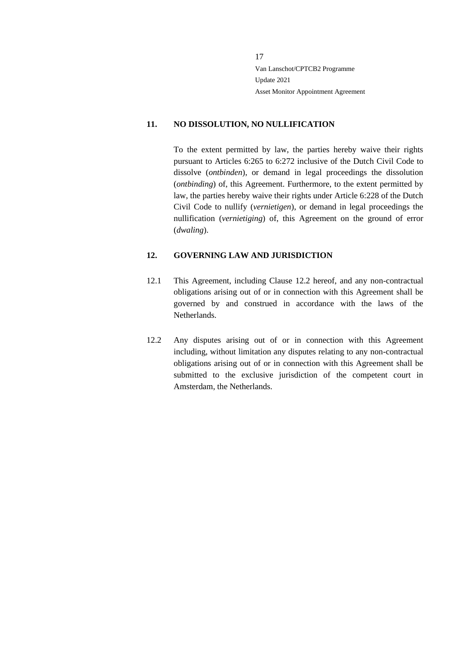#### <span id="page-16-0"></span>**11. NO DISSOLUTION, NO NULLIFICATION**

To the extent permitted by law, the parties hereby waive their rights pursuant to Articles 6:265 to 6:272 inclusive of the Dutch Civil Code to dissolve (*ontbinden*), or demand in legal proceedings the dissolution (*ontbinding*) of, this Agreement. Furthermore, to the extent permitted by law, the parties hereby waive their rights under Article 6:228 of the Dutch Civil Code to nullify (*vernietigen*), or demand in legal proceedings the nullification (*vernietiging*) of, this Agreement on the ground of error (*dwaling*).

#### <span id="page-16-1"></span>**12. GOVERNING LAW AND JURISDICTION**

- 12.1 This Agreement, including Clause 12.2 hereof, and any non-contractual obligations arising out of or in connection with this Agreement shall be governed by and construed in accordance with the laws of the Netherlands.
- 12.2 Any disputes arising out of or in connection with this Agreement including, without limitation any disputes relating to any non-contractual obligations arising out of or in connection with this Agreement shall be submitted to the exclusive jurisdiction of the competent court in Amsterdam, the Netherlands.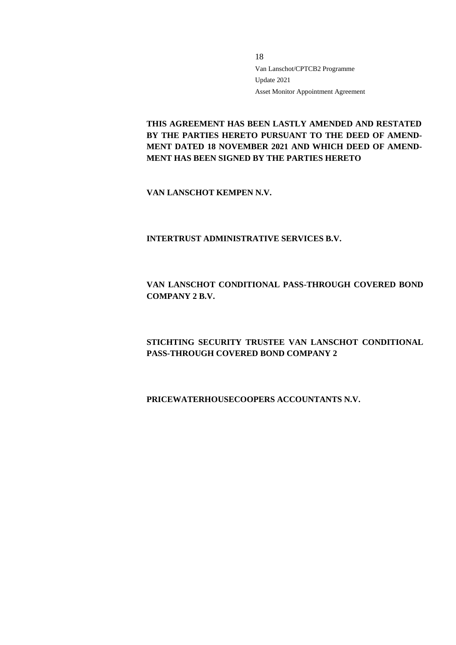**THIS AGREEMENT HAS BEEN LASTLY AMENDED AND RESTATED BY THE PARTIES HERETO PURSUANT TO THE DEED OF AMEND-MENT DATED 18 NOVEMBER 2021 AND WHICH DEED OF AMEND-MENT HAS BEEN SIGNED BY THE PARTIES HERETO**

**VAN LANSCHOT KEMPEN N.V.**

**INTERTRUST ADMINISTRATIVE SERVICES B.V.**

# **VAN LANSCHOT CONDITIONAL PASS-THROUGH COVERED BOND COMPANY 2 B.V.**

# **STICHTING SECURITY TRUSTEE VAN LANSCHOT CONDITIONAL PASS-THROUGH COVERED BOND COMPANY 2**

## **PRICEWATERHOUSECOOPERS ACCOUNTANTS N.V.**